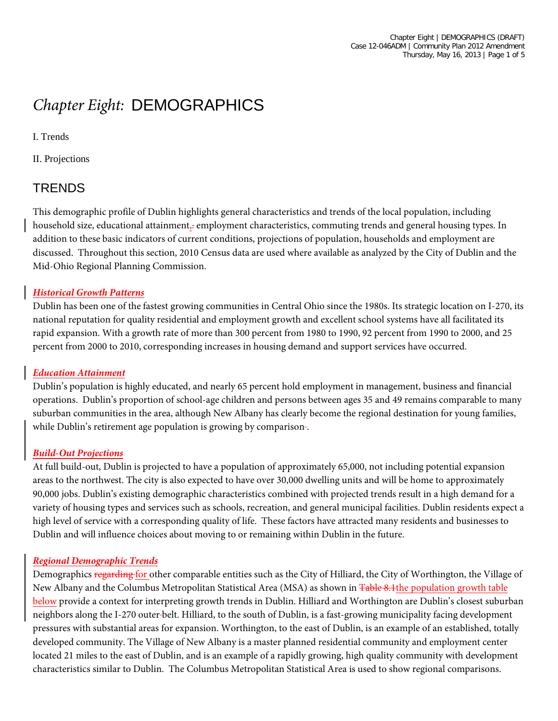# *Chapter Eight:* DEMOGRAPHICS

I. Trends

II. Projections

### **TRENDS**

This demographic profile of Dublin highlights general characteristics and trends of the local population, including household size, educational attainment, employment characteristics, commuting trends and general housing types. In addition to these basic indicators of current conditions, projections of population, households and employment are discussed. Throughout this section, 2010 Census data are used where available as analyzed by the City of Dublin and the Mid-Ohio Regional Planning Commission.

#### *Historical Growth Patterns*

Dublin has been one of the fastest growing communities in Central Ohio since the 1980s. Its strategic location on I-270, its national reputation for quality residential and employment growth and excellent school systems have all facilitated its rapid expansion. With a growth rate of more than 300 percent from 1980 to 1990, 92 percent from 1990 to 2000, and 25 percent from 2000 to 2010, corresponding increases in housing demand and support services have occurred.

#### *Education Attainment*

Dublin's population is highly educated, and nearly 65 percent hold employment in management, business and financial operations. Dublin's proportion of school-age children and persons between ages 35 and 49 remains comparable to many suburban communities in the area, although New Albany has clearly become the regional destination for young families, while Dublin's retirement age population is growing by comparison-.

#### *Build-Out Projections*

At full build-out, Dublin is projected to have a population of approximately 65,000, not including potential expansion areas to the northwest. The city is also expected to have over 30,000 dwelling units and will be home to approximately 90,000 jobs. Dublin's existing demographic characteristics combined with projected trends result in a high demand for a variety of housing types and services such as schools, recreation, and general municipal facilities. Dublin residents expect a high level of service with a corresponding quality of life. These factors have attracted many residents and businesses to Dublin and will influence choices about moving to or remaining within Dublin in the future.

#### *Regional Demographic Trends*

<span id="page-0-0"></span>Demographics regarding for other comparable entities such as the City of Hilliard, the City of Worthington, the Village of New Albany and the Columbus Metropolitan Statistical Area (MSA) as shown in Table 8.1the population growth table below provide a context for interpreting growth trends in Dublin. Hilliard and Worthington are Dublin's closest suburban neighbors along the I-270 outer belt. Hilliard, to the south of Dublin, is a fast-growing municipality facing development pressures with substantial areas for expansion. Worthington, to the east of Dublin, is an example of an established, totally developed community. The Village of New Albany is a master planned residential community and employment center located 21 miles to the east of Dublin, and is an example of a rapidly growing, high quality community with development characteristics similar to Dublin. The Columbus Metropolitan Statistical Area is used to show regional comparisons.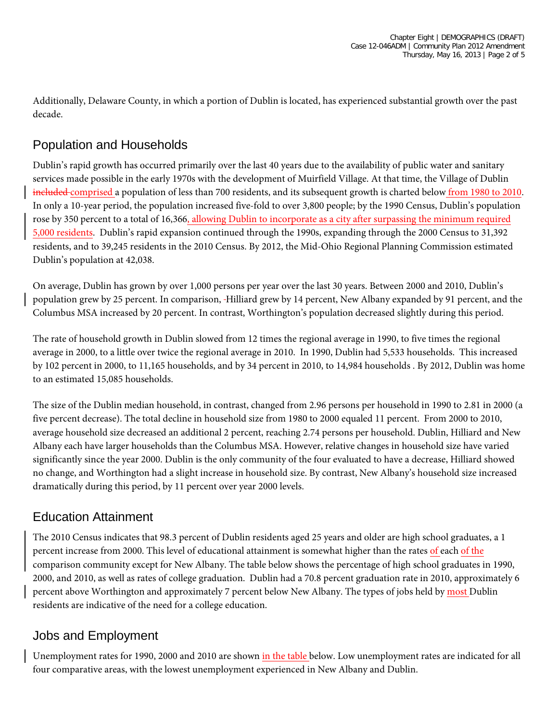Additionally, Delaware County, in which a portion of Dublin is located, has experienced substantial growth over the past decade.

### Population and Households

Dublin's rapid growth has occurred primarily over the last 40 years due to the availability of public water and sanitary services made possible in the early 1970s with the development of Muirfield Village. At that time, the Village of Dublin included comprised a population of less than 700 residents, and its subsequent growth is charted below from 1980 to 2010. In only a 10-year period, the population increased five-fold to over 3,800 people; by the 1990 Census, Dublin's population rose by 350 percent to a total of 16,366, allowing Dublin to incorporate as a city after surpassing the minimum required 5,000 residents. Dublin's rapid expansion continued through the 1990s, expanding through the 2000 Census to 31,392 residents, and to 39,245 residents in the 2010 Census. By 2012, the Mid-Ohio Regional Planning Commission estimated Dublin's population at 42,038.

On average, Dublin has grown by over 1,000 persons per year over the last 30 years. Between 2000 and 2010, Dublin's population grew by 25 percent. In comparison, Hilliard grew by 14 percent, New Albany expanded by 91 percent, and the Columbus MSA increased by 20 percent. In contrast, Worthington's population decreased slightly during this period.

The rate of household growth in Dublin slowed from 12 times the regional average in 1990, to five times the regional average in 2000, to a little over twice the regional average in 2010. In 1990, Dublin had 5,533 households. This increased by 102 percent in 2000, to 11,165 households, and by 34 percent in 2010, to 14,984 households . By 2012, Dublin was home to an estimated 15,085 households.

The size of the Dublin median household, in contrast, changed from 2.96 persons per household in 1990 to 2.81 in 2000 (a five percent decrease). The total decline in household size from 1980 to 2000 equaled 11 percent. From 2000 to 2010, average household size decreased an additional 2 percent, reaching 2.74 persons per household. Dublin, Hilliard and New Albany each have larger households than the Columbus MSA. However, relative changes in household size have varied significantly since the year 2000. Dublin is the only community of the four evaluated to have a decrease, Hilliard showed no change, and Worthington had a slight increase in household size. By contrast, New Albany's household size increased dramatically during this period, by 11 percent over year 2000 levels.

### Education Attainment

The 2010 Census indicates that 98.3 percent of Dublin residents aged 25 years and older are high school graduates, a 1 percent increase from 2000. This level of educational attainment is somewhat higher than the rates of each of the comparison community except for New Albany. The table below shows the percentage of high school graduates in 1990, 2000, and 2010, as well as rates of college graduation. Dublin had a 70.8 percent graduation rate in 2010, approximately 6 percent above Worthington and approximately 7 percent below New Albany. The types of jobs held by most Dublin residents are indicative of the need for a college education.

### Jobs and Employment

Unemployment rates for 1990, 2000 and 2010 are shown in the table below. Low unemployment rates are indicated for all four comparative areas, with the lowest unemployment experienced in New Albany and Dublin.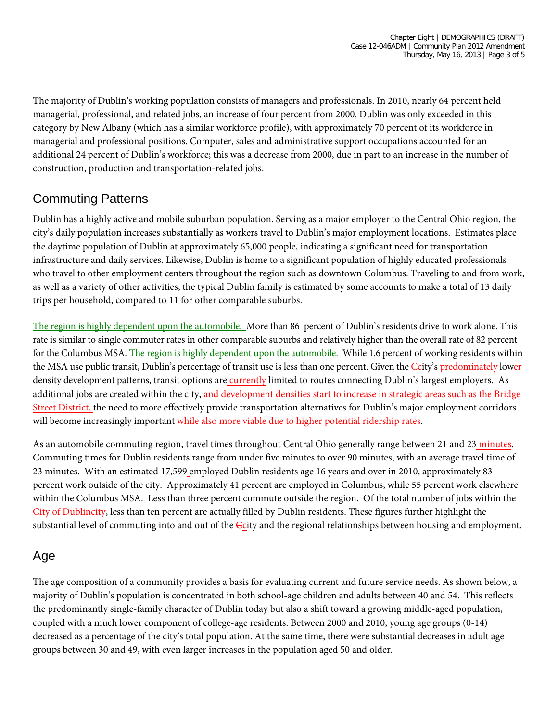The majority of Dublin's working population consists of managers and professionals. In 2010, nearly 64 percent held managerial, professional, and related jobs, an increase of four percent from 2000. Dublin was only exceeded in this category by New Albany (which has a similar workforce profile), with approximately 70 percent of its workforce in managerial and professional positions. Computer, sales and administrative support occupations accounted for an additional 24 percent of Dublin's workforce; this was a decrease from 2000, due in part to an increase in the number of construction, production and transportation-related jobs.

# Commuting Patterns

Dublin has a highly active and mobile suburban population. Serving as a major employer to the Central Ohio region, the city's daily population increases substantially as workers travel to Dublin's major employment locations. Estimates place the daytime population of Dublin at approximately 65,000 people, indicating a significant need for transportation infrastructure and daily services. Likewise, Dublin is home to a significant population of highly educated professionals who travel to other employment centers throughout the region such as downtown Columbus. Traveling to and from work, as well as a variety of other activities, the typical Dublin family is estimated by some accounts to make a total of 13 daily trips per household, compared to 11 for other comparable suburbs.

The region is highly dependent upon the automobile. More than 86 percent of Dublin's residents drive to work alone. This rate is similar to single commuter rates in other comparable suburbs and relatively higher than the overall rate of 82 percent for the Columbus MSA. The region is highly dependent upon the automobile. While 1.6 percent of working residents within the MSA use public transit, Dublin's percentage of transit use is less than one percent. Given the Ecity's predominately lower density development patterns, transit options are currently limited to routes connecting Dublin's largest employers. As additional jobs are created within the city, and development densities start to increase in strategic areas such as the Bridge Street District, the need to more effectively provide transportation alternatives for Dublin's major employment corridors will become increasingly important while also more viable due to higher potential ridership rates.

As an automobile commuting region, travel times throughout Central Ohio generally range between 21 and 23 minutes. Commuting times for Dublin residents range from under five minutes to over 90 minutes, with an average travel time of 23 minutes. With an estimated 17,599 employed Dublin residents age 16 years and over in 2010, approximately 83 percent work outside of the city. Approximately 41 percent are employed in Columbus, while 55 percent work elsewhere within the Columbus MSA. Less than three percent commute outside the region. Of the total number of jobs within the City of Dublincity, less than ten percent are actually filled by Dublin residents. These figures further highlight the substantial level of commuting into and out of the  $C$ city and the regional relationships between housing and employment.

# Age

The age composition of a community provides a basis for evaluating current and future service needs. As shown below, a majority of Dublin's population is concentrated in both school-age children and adults between 40 and 54. This reflects the predominantly single-family character of Dublin today but also a shift toward a growing middle-aged population, coupled with a much lower component of college-age residents. Between 2000 and 2010, young age groups (0-14) decreased as a percentage of the city's total population. At the same time, there were substantial decreases in adult age groups between 30 and 49, with even larger increases in the population aged 50 and older.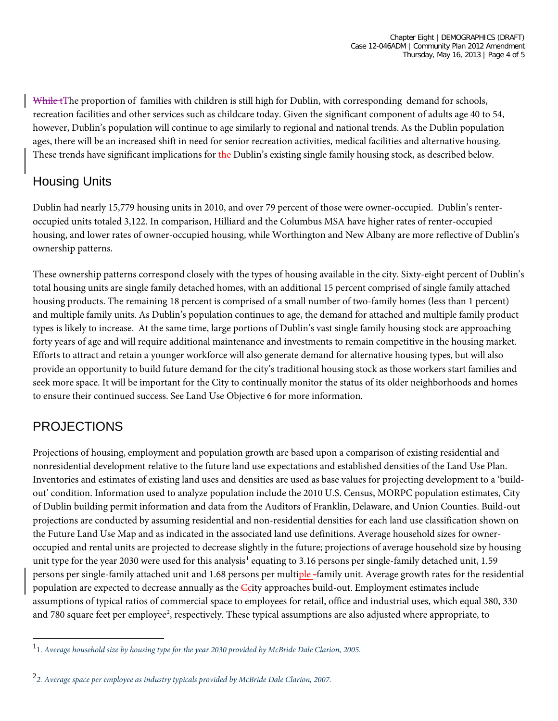While tThe proportion of families with children is still high for Dublin, with corresponding demand for schools, recreation facilities and other services such as childcare today. Given the significant component of adults age 40 to 54, however, Dublin's population will continue to age similarly to regional and national trends. As the Dublin population ages, there will be an increased shift in need for senior recreation activities, medical facilities and alternative housing. These trends have significant implications for the Dublin's existing single family housing stock, as described below.

# Housing Units

Dublin had nearly 15,779 housing units in 2010, and over 79 percent of those were owner-occupied. Dublin's renteroccupied units totaled 3,122. In comparison, Hilliard and the Columbus MSA have higher rates of renter-occupied housing, and lower rates of owner-occupied housing, while Worthington and New Albany are more reflective of Dublin's ownership patterns.

These ownership patterns correspond closely with the types of housing available in the city. Sixty-eight percent of Dublin's total housing units are single family detached homes, with an additional 15 percent comprised of single family attached housing products. The remaining 18 percent is comprised of a small number of two-family homes (less than 1 percent) and multiple family units. As Dublin's population continues to age, the demand for attached and multiple family product types is likely to increase. At the same time, large portions of Dublin's vast single family housing stock are approaching forty years of age and will require additional maintenance and investments to remain competitive in the housing market. Efforts to attract and retain a younger workforce will also generate demand for alternative housing types, but will also provide an opportunity to build future demand for the city's traditional housing stock as those workers start families and seek more space. It will be important for the City to continually monitor the status of its older neighborhoods and homes to ensure their continued success. See Land Use Objective 6 for more information.

# PROJECTIONS

 $\overline{\phantom{0}}$ 

Projections of housing, employment and population growth are based upon a comparison of existing residential and nonresidential development relative to the future land use expectations and established densities of the Land Use Plan. Inventories and estimates of existing land uses and densities are used as base values for projecting development to a 'buildout' condition. Information used to analyze population include the 2010 U.S. Census, MORPC population estimates, City of Dublin building permit information and data from the Auditors of Franklin, Delaware, and Union Counties. Build-out projections are conducted by assuming residential and non-residential densities for each land use classification shown on the Future Land Use Map and as indicated in the associated land use definitions. Average household sizes for owneroccupied and rental units are projected to decrease slightly in the future; projections of average household size by housing unit type for the year 2030 were used for this analysis<sup>[1](#page-0-0)</sup> equating to 3.16 persons per single-family detached unit, 1.59 persons per single-family attached unit and 1.68 persons per multiple -family unit. Average growth rates for the residential population are expected to decrease annually as the Ccity approaches build-out. Employment estimates include assumptions of typical ratios of commercial space to employees for retail, office and industrial uses, which equal 380, 330 and 780 square feet per employee<sup>[2](#page-3-0)</sup>, respectively. These typical assumptions are also adjusted where appropriate, to

<sup>1</sup> 1. *Average household size by housing type for the year 2030 provided by McBride Dale Clarion, 2005.*

<span id="page-3-0"></span><sup>2</sup> *2. Average space per employee as industry typicals provided by McBride Dale Clarion, 2007.*